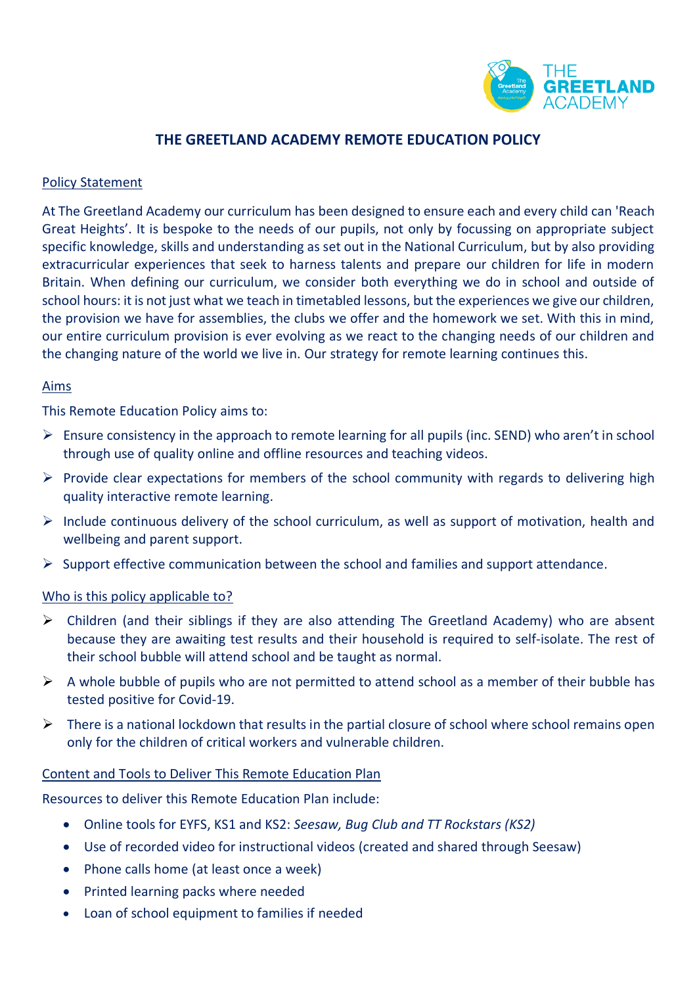

# **THE GREETLAND ACADEMY REMOTE EDUCATION POLICY**

#### Policy Statement

At The Greetland Academy our curriculum has been designed to ensure each and every child can 'Reach Great Heights'. It is bespoke to the needs of our pupils, not only by focussing on appropriate subject specific knowledge, skills and understanding as set out in the National Curriculum, but by also providing extracurricular experiences that seek to harness talents and prepare our children for life in modern Britain. When defining our curriculum, we consider both everything we do in school and outside of school hours: it is not just what we teach in timetabled lessons, but the experiences we give our children, the provision we have for assemblies, the clubs we offer and the homework we set. With this in mind, our entire curriculum provision is ever evolving as we react to the changing needs of our children and the changing nature of the world we live in. Our strategy for remote learning continues this.

#### Aims

This Remote Education Policy aims to:

- $\triangleright$  Ensure consistency in the approach to remote learning for all pupils (inc. SEND) who aren't in school through use of quality online and offline resources and teaching videos.
- $\triangleright$  Provide clear expectations for members of the school community with regards to delivering high quality interactive remote learning.
- $\triangleright$  Include continuous delivery of the school curriculum, as well as support of motivation, health and wellbeing and parent support.
- $\triangleright$  Support effective communication between the school and families and support attendance.

#### Who is this policy applicable to?

- ➢ Children (and their siblings if they are also attending The Greetland Academy) who are absent because they are awaiting test results and their household is required to self-isolate. The rest of their school bubble will attend school and be taught as normal.
- $\triangleright$  A whole bubble of pupils who are not permitted to attend school as a member of their bubble has tested positive for Covid-19.
- $\triangleright$  There is a national lockdown that results in the partial closure of school where school remains open only for the children of critical workers and vulnerable children.

#### Content and Tools to Deliver This Remote Education Plan

Resources to deliver this Remote Education Plan include:

- Online tools for EYFS, KS1 and KS2: *Seesaw, Bug Club and TT Rockstars (KS2)*
- Use of recorded video for instructional videos (created and shared through Seesaw)
- Phone calls home (at least once a week)
- Printed learning packs where needed
- Loan of school equipment to families if needed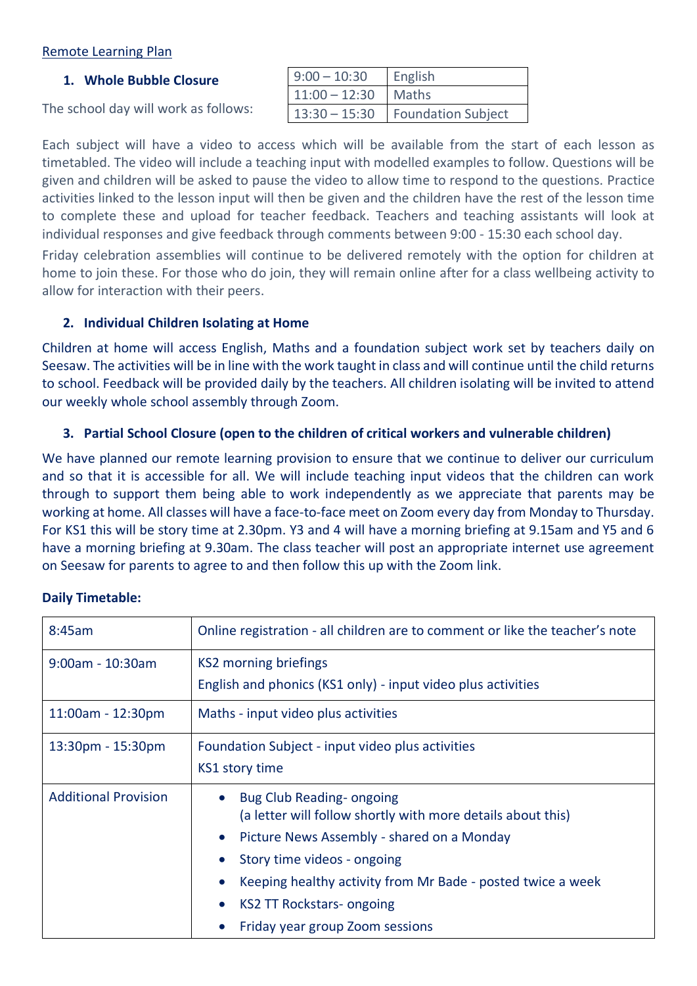# Remote Learning Plan

#### **1. Whole Bubble Closure**

| The school day will work as follows: |  |
|--------------------------------------|--|
|--------------------------------------|--|

| $9:00 - 10:30$        | English                            |
|-----------------------|------------------------------------|
| $11:00 - 12:30$ Maths |                                    |
|                       | 13:30 - 15:30   Foundation Subject |

Each subject will have a video to access which will be available from the start of each lesson as timetabled. The video will include a teaching input with modelled examples to follow. Questions will be given and children will be asked to pause the video to allow time to respond to the questions. Practice activities linked to the lesson input will then be given and the children have the rest of the lesson time to complete these and upload for teacher feedback. Teachers and teaching assistants will look at individual responses and give feedback through comments between 9:00 - 15:30 each school day.

Friday celebration assemblies will continue to be delivered remotely with the option for children at home to join these. For those who do join, they will remain online after for a class wellbeing activity to allow for interaction with their peers.

## **2. Individual Children Isolating at Home**

Children at home will access English, Maths and a foundation subject work set by teachers daily on Seesaw. The activities will be in line with the work taught in class and will continue until the child returns to school. Feedback will be provided daily by the teachers. All children isolating will be invited to attend our weekly whole school assembly through Zoom.

# **3. Partial School Closure (open to the children of critical workers and vulnerable children)**

We have planned our remote learning provision to ensure that we continue to deliver our curriculum and so that it is accessible for all. We will include teaching input videos that the children can work through to support them being able to work independently as we appreciate that parents may be working at home. All classes will have a face-to-face meet on Zoom every day from Monday to Thursday. For KS1 this will be story time at 2.30pm. Y3 and 4 will have a morning briefing at 9.15am and Y5 and 6 have a morning briefing at 9.30am. The class teacher will post an appropriate internet use agreement on Seesaw for parents to agree to and then follow this up with the Zoom link.

## **Daily Timetable:**

| 8:45am                      | Online registration - all children are to comment or like the teacher's note                                                                                                                                                                                                                               |  |
|-----------------------------|------------------------------------------------------------------------------------------------------------------------------------------------------------------------------------------------------------------------------------------------------------------------------------------------------------|--|
| $9:00$ am - 10:30am         | KS2 morning briefings<br>English and phonics (KS1 only) - input video plus activities                                                                                                                                                                                                                      |  |
| $11:00am - 12:30pm$         | Maths - input video plus activities                                                                                                                                                                                                                                                                        |  |
| 13:30pm - 15:30pm           | Foundation Subject - input video plus activities<br><b>KS1 story time</b>                                                                                                                                                                                                                                  |  |
| <b>Additional Provision</b> | Bug Club Reading-ongoing<br>(a letter will follow shortly with more details about this)<br>Picture News Assembly - shared on a Monday<br>Story time videos - ongoing<br>Keeping healthy activity from Mr Bade - posted twice a week<br><b>KS2 TT Rockstars- ongoing</b><br>Friday year group Zoom sessions |  |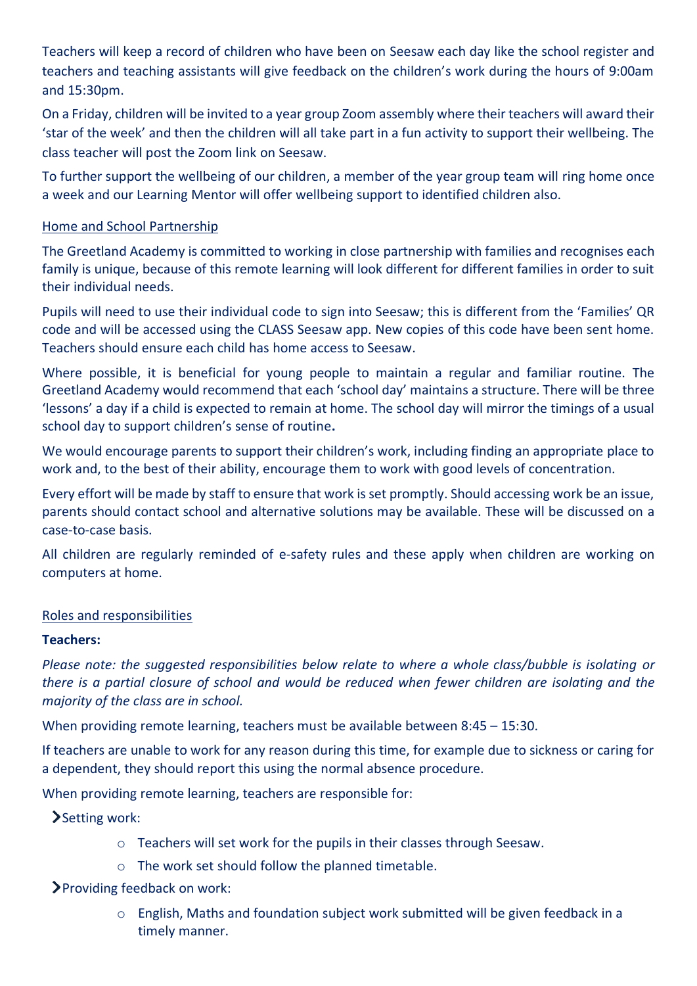Teachers will keep a record of children who have been on Seesaw each day like the school register and teachers and teaching assistants will give feedback on the children's work during the hours of 9:00am and 15:30pm.

On a Friday, children will be invited to a year group Zoom assembly where their teachers will award their 'star of the week' and then the children will all take part in a fun activity to support their wellbeing. The class teacher will post the Zoom link on Seesaw.

To further support the wellbeing of our children, a member of the year group team will ring home once a week and our Learning Mentor will offer wellbeing support to identified children also.

# Home and School Partnership

The Greetland Academy is committed to working in close partnership with families and recognises each family is unique, because of this remote learning will look different for different families in order to suit their individual needs.

Pupils will need to use their individual code to sign into Seesaw; this is different from the 'Families' QR code and will be accessed using the CLASS Seesaw app. New copies of this code have been sent home. Teachers should ensure each child has home access to Seesaw.

Where possible, it is beneficial for young people to maintain a regular and familiar routine. The Greetland Academy would recommend that each 'school day' maintains a structure. There will be three 'lessons' a day if a child is expected to remain at home. The school day will mirror the timings of a usual school day to support children's sense of routine**.**

We would encourage parents to support their children's work, including finding an appropriate place to work and, to the best of their ability, encourage them to work with good levels of concentration.

Every effort will be made by staff to ensure that work is set promptly. Should accessing work be an issue, parents should contact school and alternative solutions may be available. These will be discussed on a case-to-case basis.

All children are regularly reminded of e-safety rules and these apply when children are working on computers at home.

## Roles and responsibilities

# **Teachers:**

*Please note: the suggested responsibilities below relate to where a whole class/bubble is isolating or there is a partial closure of school and would be reduced when fewer children are isolating and the majority of the class are in school.*

When providing remote learning, teachers must be available between 8:45 – 15:30.

If teachers are unable to work for any reason during this time, for example due to sickness or caring for a dependent, they should report this using the normal absence procedure.

When providing remote learning, teachers are responsible for:

Setting work:

- o Teachers will set work for the pupils in their classes through Seesaw.
- o The work set should follow the planned timetable.

Providing feedback on work:

o English, Maths and foundation subject work submitted will be given feedback in a timely manner.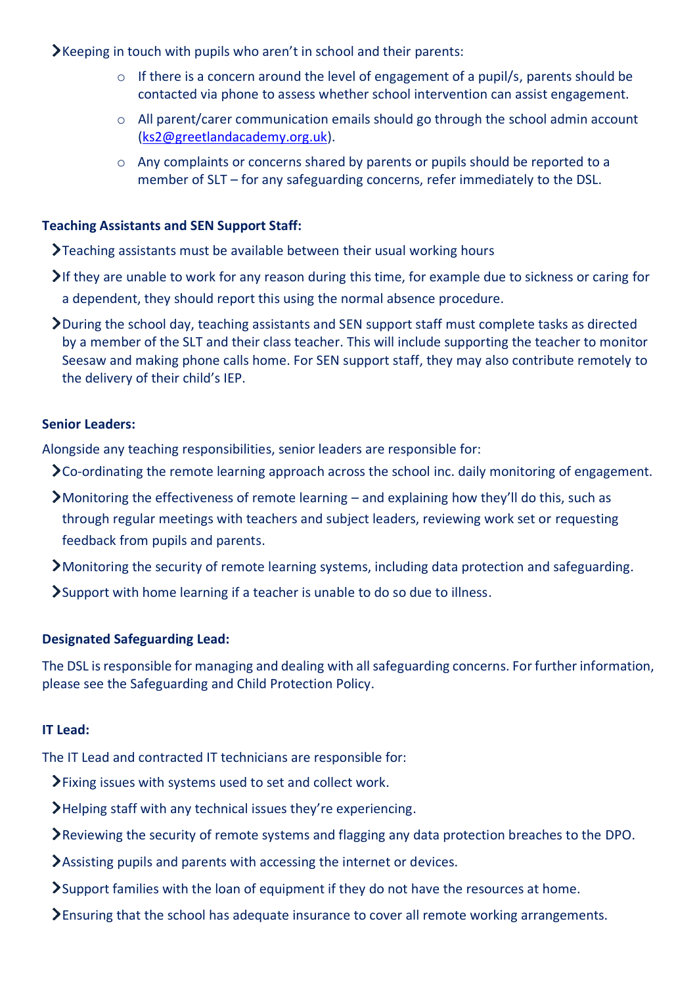$\blacktriangleright$  Keeping in touch with pupils who aren't in school and their parents:

- o If there is a concern around the level of engagement of a pupil/s, parents should be contacted via phone to assess whether school intervention can assist engagement.
- o All parent/carer communication emails should go through the school admin account [\(ks2@greetlandacademy.org.uk\)](mailto:ks2@greetlandacademy.org.uk).
- o Any complaints or concerns shared by parents or pupils should be reported to a member of SLT – for any safeguarding concerns, refer immediately to the DSL.

# **Teaching Assistants and SEN Support Staff:**

 $\sum$ Teaching assistants must be available between their usual working hours

- $\blacktriangleright$  If they are unable to work for any reason during this time, for example due to sickness or caring for a dependent, they should report this using the normal absence procedure.
- During the school day, teaching assistants and SEN support staff must complete tasks as directed by a member of the SLT and their class teacher. This will include supporting the teacher to monitor Seesaw and making phone calls home. For SEN support staff, they may also contribute remotely to the delivery of their child's IEP.

# **Senior Leaders:**

Alongside any teaching responsibilities, senior leaders are responsible for:

- $\sum$  Co-ordinating the remote learning approach across the school inc. daily monitoring of engagement.
- Monitoring the effectiveness of remote learning and explaining how they'll do this, such as through regular meetings with teachers and subject leaders, reviewing work set or requesting feedback from pupils and parents.
- Monitoring the security of remote learning systems, including data protection and safeguarding.
- Support with home learning if a teacher is unable to do so due to illness.

## **Designated Safeguarding Lead:**

The DSL is responsible for managing and dealing with all safeguarding concerns. For further information, please see the Safeguarding and Child Protection Policy.

# **IT Lead:**

The IT Lead and contracted IT technicians are responsible for:

- Fixing issues with systems used to set and collect work.
- Helping staff with any technical issues they're experiencing.
- Reviewing the security of remote systems and flagging any data protection breaches to the DPO.
- Assisting pupils and parents with accessing the internet or devices.
- Support families with the loan of equipment if they do not have the resources at home.
- Ensuring that the school has adequate insurance to cover all remote working arrangements.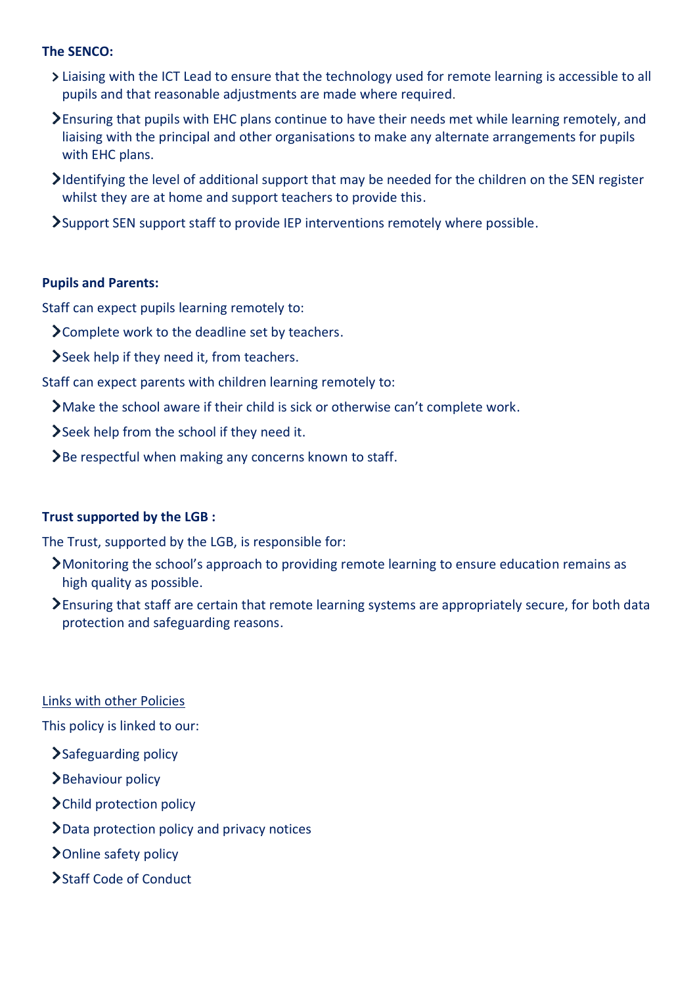## **The SENCO:**

- Liaising with the ICT Lead to ensure that the technology used for remote learning is accessible to all pupils and that reasonable adjustments are made where required.
- Ensuring that pupils with EHC plans continue to have their needs met while learning remotely, and liaising with the principal and other organisations to make any alternate arrangements for pupils with EHC plans.
- Identifying the level of additional support that may be needed for the children on the SEN register whilst they are at home and support teachers to provide this.
- Support SEN support staff to provide IEP interventions remotely where possible.

#### **Pupils and Parents:**

Staff can expect pupils learning remotely to:

- Complete work to the deadline set by teachers.
- Seek help if they need it, from teachers.

Staff can expect parents with children learning remotely to:

- Make the school aware if their child is sick or otherwise can't complete work.
- Seek help from the school if they need it.
- $\sum$  Be respectful when making any concerns known to staff.

## **Trust supported by the LGB :**

The Trust, supported by the LGB, is responsible for:

- Monitoring the school's approach to providing remote learning to ensure education remains as high quality as possible.
- Ensuring that staff are certain that remote learning systems are appropriately secure, for both data protection and safeguarding reasons.

Links with other Policies

This policy is linked to our:

- > Safeguarding policy
- Behaviour policy
- > Child protection policy
- Data protection policy and privacy notices
- > Online safety policy
- Staff Code of Conduct